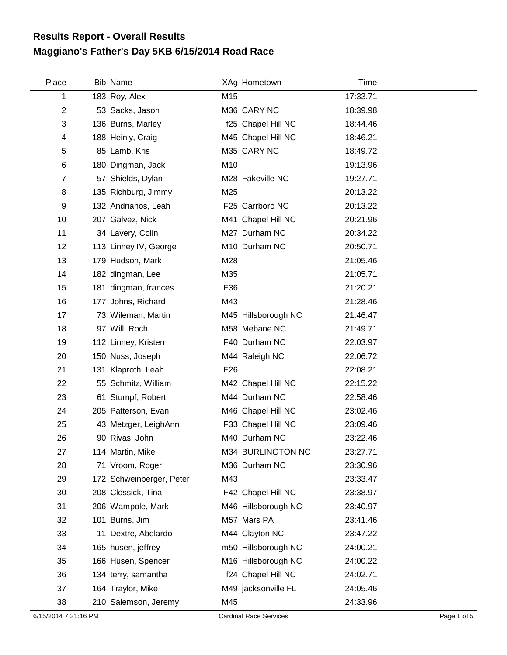## **Maggiano's Father's Day 5KB 6/15/2014 Road Race Results Report - Overall Results**

| Place          | <b>Bib Name</b>          |                 | XAg Hometown        | <b>Time</b> |  |
|----------------|--------------------------|-----------------|---------------------|-------------|--|
| 1              | 183 Roy, Alex            | M15             |                     | 17:33.71    |  |
| $\overline{2}$ | 53 Sacks, Jason          |                 | M36 CARY NC         | 18:39.98    |  |
| 3              | 136 Burns, Marley        |                 | f25 Chapel Hill NC  | 18:44.46    |  |
| 4              | 188 Heinly, Craig        |                 | M45 Chapel Hill NC  | 18:46.21    |  |
| 5              | 85 Lamb, Kris            |                 | M35 CARY NC         | 18:49.72    |  |
| 6              | 180 Dingman, Jack        | M10             |                     | 19:13.96    |  |
| $\overline{7}$ | 57 Shields, Dylan        |                 | M28 Fakeville NC    | 19:27.71    |  |
| 8              | 135 Richburg, Jimmy      | M25             |                     | 20:13.22    |  |
| 9              | 132 Andrianos, Leah      |                 | F25 Carrboro NC     | 20:13.22    |  |
| 10             | 207 Galvez, Nick         |                 | M41 Chapel Hill NC  | 20:21.96    |  |
| 11             | 34 Lavery, Colin         |                 | M27 Durham NC       | 20:34.22    |  |
| 12             | 113 Linney IV, George    |                 | M10 Durham NC       | 20:50.71    |  |
| 13             | 179 Hudson, Mark         | M28             |                     | 21:05.46    |  |
| 14             | 182 dingman, Lee         | M35             |                     | 21:05.71    |  |
| 15             | 181 dingman, frances     | F36             |                     | 21:20.21    |  |
| 16             | 177 Johns, Richard       | M43             |                     | 21:28.46    |  |
| 17             | 73 Wileman, Martin       |                 | M45 Hillsborough NC | 21:46.47    |  |
| 18             | 97 Will, Roch            |                 | M58 Mebane NC       | 21:49.71    |  |
| 19             | 112 Linney, Kristen      |                 | F40 Durham NC       | 22:03.97    |  |
| 20             | 150 Nuss, Joseph         |                 | M44 Raleigh NC      | 22:06.72    |  |
| 21             | 131 Klaproth, Leah       | F <sub>26</sub> |                     | 22:08.21    |  |
| 22             | 55 Schmitz, William      |                 | M42 Chapel Hill NC  | 22:15.22    |  |
| 23             | 61 Stumpf, Robert        |                 | M44 Durham NC       | 22:58.46    |  |
| 24             | 205 Patterson, Evan      |                 | M46 Chapel Hill NC  | 23:02.46    |  |
| 25             | 43 Metzger, LeighAnn     |                 | F33 Chapel Hill NC  | 23:09.46    |  |
| 26             | 90 Rivas, John           |                 | M40 Durham NC       | 23:22.46    |  |
| 27             | 114 Martin, Mike         |                 | M34 BURLINGTON NC   | 23:27.71    |  |
| 28             | 71 Vroom, Roger          |                 | M36 Durham NC       | 23:30.96    |  |
| 29             | 172 Schweinberger, Peter | M43             |                     | 23:33.47    |  |
| 30             | 208 Clossick, Tina       |                 | F42 Chapel Hill NC  | 23:38.97    |  |
| 31             | 206 Wampole, Mark        |                 | M46 Hillsborough NC | 23:40.97    |  |
| 32             | 101 Burns, Jim           |                 | M57 Mars PA         | 23:41.46    |  |
| 33             | 11 Dextre, Abelardo      |                 | M44 Clayton NC      | 23:47.22    |  |
| 34             | 165 husen, jeffrey       |                 | m50 Hillsborough NC | 24:00.21    |  |
| 35             | 166 Husen, Spencer       |                 | M16 Hillsborough NC | 24:00.22    |  |
| 36             | 134 terry, samantha      |                 | f24 Chapel Hill NC  | 24:02.71    |  |
| 37             | 164 Traylor, Mike        |                 | M49 jacksonville FL | 24:05.46    |  |
| 38             | 210 Salemson, Jeremy     | M45             |                     | 24:33.96    |  |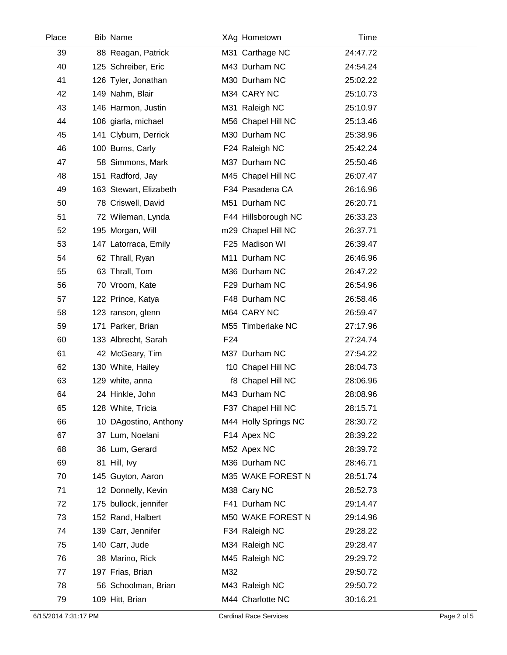| Place | <b>Bib Name</b>        |                 | XAg Hometown         | Time     |
|-------|------------------------|-----------------|----------------------|----------|
| 39    | 88 Reagan, Patrick     |                 | M31 Carthage NC      | 24:47.72 |
| 40    | 125 Schreiber, Eric    |                 | M43 Durham NC        | 24:54.24 |
| 41    | 126 Tyler, Jonathan    |                 | M30 Durham NC        | 25:02.22 |
| 42    | 149 Nahm, Blair        |                 | M34 CARY NC          | 25:10.73 |
| 43    | 146 Harmon, Justin     |                 | M31 Raleigh NC       | 25:10.97 |
| 44    | 106 giarla, michael    |                 | M56 Chapel Hill NC   | 25:13.46 |
| 45    | 141 Clyburn, Derrick   |                 | M30 Durham NC        | 25:38.96 |
| 46    | 100 Burns, Carly       |                 | F24 Raleigh NC       | 25:42.24 |
| 47    | 58 Simmons, Mark       |                 | M37 Durham NC        | 25:50.46 |
| 48    | 151 Radford, Jay       |                 | M45 Chapel Hill NC   | 26:07.47 |
| 49    | 163 Stewart, Elizabeth |                 | F34 Pasadena CA      | 26:16.96 |
| 50    | 78 Criswell, David     |                 | M51 Durham NC        | 26:20.71 |
| 51    | 72 Wileman, Lynda      |                 | F44 Hillsborough NC  | 26:33.23 |
| 52    | 195 Morgan, Will       |                 | m29 Chapel Hill NC   | 26:37.71 |
| 53    | 147 Latorraca, Emily   |                 | F25 Madison WI       | 26:39.47 |
| 54    | 62 Thrall, Ryan        |                 | M11 Durham NC        | 26:46.96 |
| 55    | 63 Thrall, Tom         |                 | M36 Durham NC        | 26:47.22 |
| 56    | 70 Vroom, Kate         |                 | F29 Durham NC        | 26:54.96 |
| 57    | 122 Prince, Katya      |                 | F48 Durham NC        | 26:58.46 |
| 58    | 123 ranson, glenn      |                 | M64 CARY NC          | 26:59.47 |
| 59    | 171 Parker, Brian      |                 | M55 Timberlake NC    | 27:17.96 |
| 60    | 133 Albrecht, Sarah    | F <sub>24</sub> |                      | 27:24.74 |
| 61    | 42 McGeary, Tim        |                 | M37 Durham NC        | 27:54.22 |
| 62    | 130 White, Hailey      |                 | f10 Chapel Hill NC   | 28:04.73 |
| 63    | 129 white, anna        |                 | f8 Chapel Hill NC    | 28:06.96 |
| 64    | 24 Hinkle, John        |                 | M43 Durham NC        | 28:08.96 |
| 65    | 128 White, Tricia      |                 | F37 Chapel Hill NC   | 28:15.71 |
| 66    | 10 DAgostino, Anthony  |                 | M44 Holly Springs NC | 28:30.72 |
| 67    | 37 Lum, Noelani        |                 | F14 Apex NC          | 28:39.22 |
| 68    | 36 Lum, Gerard         |                 | M52 Apex NC          | 28:39.72 |
| 69    | 81 Hill, Ivy           |                 | M36 Durham NC        | 28:46.71 |
| 70    | 145 Guyton, Aaron      |                 | M35 WAKE FOREST N    | 28:51.74 |
| 71    | 12 Donnelly, Kevin     |                 | M38 Cary NC          | 28:52.73 |
| 72    | 175 bullock, jennifer  |                 | F41 Durham NC        | 29:14.47 |
| 73    | 152 Rand, Halbert      |                 | M50 WAKE FOREST N    | 29:14.96 |
| 74    | 139 Carr, Jennifer     |                 | F34 Raleigh NC       | 29:28.22 |
| 75    | 140 Carr, Jude         |                 | M34 Raleigh NC       | 29:28.47 |
| 76    | 38 Marino, Rick        |                 | M45 Raleigh NC       | 29:29.72 |
| 77    | 197 Frias, Brian       | M32             |                      | 29:50.72 |
| 78    | 56 Schoolman, Brian    |                 | M43 Raleigh NC       | 29:50.72 |
| 79    | 109 Hitt, Brian        |                 | M44 Charlotte NC     | 30:16.21 |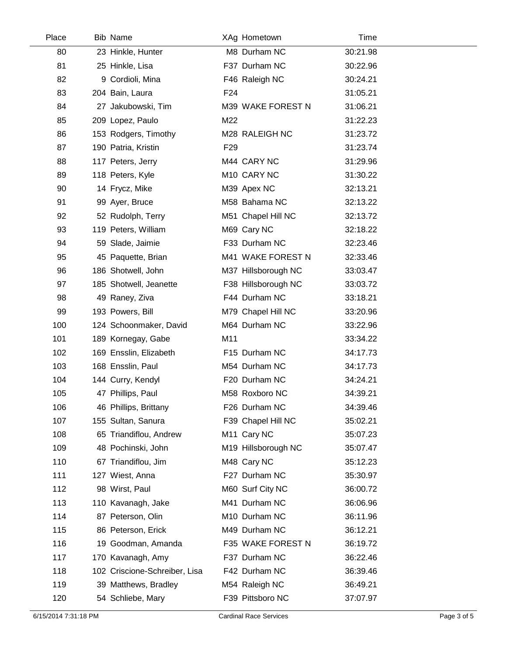| Place | <b>Bib Name</b>               |                 | XAg Hometown        | Time     |  |
|-------|-------------------------------|-----------------|---------------------|----------|--|
| 80    | 23 Hinkle, Hunter             |                 | M8 Durham NC        | 30:21.98 |  |
| 81    | 25 Hinkle, Lisa               |                 | F37 Durham NC       | 30:22.96 |  |
| 82    | 9 Cordioli, Mina              |                 | F46 Raleigh NC      | 30:24.21 |  |
| 83    | 204 Bain, Laura               | F <sub>24</sub> |                     | 31:05.21 |  |
| 84    | 27 Jakubowski, Tim            |                 | M39 WAKE FOREST N   | 31:06.21 |  |
| 85    | 209 Lopez, Paulo              | M22             |                     | 31:22.23 |  |
| 86    | 153 Rodgers, Timothy          |                 | M28 RALEIGH NC      | 31:23.72 |  |
| 87    | 190 Patria, Kristin           | F <sub>29</sub> |                     | 31:23.74 |  |
| 88    | 117 Peters, Jerry             |                 | M44 CARY NC         | 31:29.96 |  |
| 89    | 118 Peters, Kyle              |                 | M10 CARY NC         | 31:30.22 |  |
| 90    | 14 Frycz, Mike                |                 | M39 Apex NC         | 32:13.21 |  |
| 91    | 99 Ayer, Bruce                |                 | M58 Bahama NC       | 32:13.22 |  |
| 92    | 52 Rudolph, Terry             |                 | M51 Chapel Hill NC  | 32:13.72 |  |
| 93    | 119 Peters, William           |                 | M69 Cary NC         | 32:18.22 |  |
| 94    | 59 Slade, Jaimie              |                 | F33 Durham NC       | 32:23.46 |  |
| 95    | 45 Paquette, Brian            |                 | M41 WAKE FOREST N   | 32:33.46 |  |
| 96    | 186 Shotwell, John            |                 | M37 Hillsborough NC | 33:03.47 |  |
| 97    | 185 Shotwell, Jeanette        |                 | F38 Hillsborough NC | 33:03.72 |  |
| 98    | 49 Raney, Ziva                |                 | F44 Durham NC       | 33:18.21 |  |
| 99    | 193 Powers, Bill              |                 | M79 Chapel Hill NC  | 33:20.96 |  |
| 100   | 124 Schoonmaker, David        |                 | M64 Durham NC       | 33:22.96 |  |
| 101   | 189 Kornegay, Gabe            | M11             |                     | 33:34.22 |  |
| 102   | 169 Ensslin, Elizabeth        |                 | F15 Durham NC       | 34:17.73 |  |
| 103   | 168 Ensslin, Paul             |                 | M54 Durham NC       | 34:17.73 |  |
| 104   | 144 Curry, Kendyl             |                 | F20 Durham NC       | 34:24.21 |  |
| 105   | 47 Phillips, Paul             |                 | M58 Roxboro NC      | 34:39.21 |  |
| 106   | 46 Phillips, Brittany         |                 | F26 Durham NC       | 34:39.46 |  |
| 107   | 155 Sultan, Sanura            |                 | F39 Chapel Hill NC  | 35:02.21 |  |
| 108   | 65 Triandiflou, Andrew        |                 | M11 Cary NC         | 35:07.23 |  |
| 109   | 48 Pochinski, John            |                 | M19 Hillsborough NC | 35:07.47 |  |
| 110   | 67 Triandiflou, Jim           |                 | M48 Cary NC         | 35:12.23 |  |
| 111   | 127 Wiest, Anna               |                 | F27 Durham NC       | 35:30.97 |  |
| 112   | 98 Wirst, Paul                |                 | M60 Surf City NC    | 36:00.72 |  |
| 113   | 110 Kavanagh, Jake            |                 | M41 Durham NC       | 36:06.96 |  |
| 114   | 87 Peterson, Olin             |                 | M10 Durham NC       | 36:11.96 |  |
| 115   | 86 Peterson, Erick            |                 | M49 Durham NC       | 36:12.21 |  |
| 116   | 19 Goodman, Amanda            |                 | F35 WAKE FOREST N   | 36:19.72 |  |
| 117   | 170 Kavanagh, Amy             |                 | F37 Durham NC       | 36:22.46 |  |
| 118   | 102 Criscione-Schreiber, Lisa |                 | F42 Durham NC       | 36:39.46 |  |
| 119   | 39 Matthews, Bradley          |                 | M54 Raleigh NC      | 36:49.21 |  |
| 120   | 54 Schliebe, Mary             |                 | F39 Pittsboro NC    | 37:07.97 |  |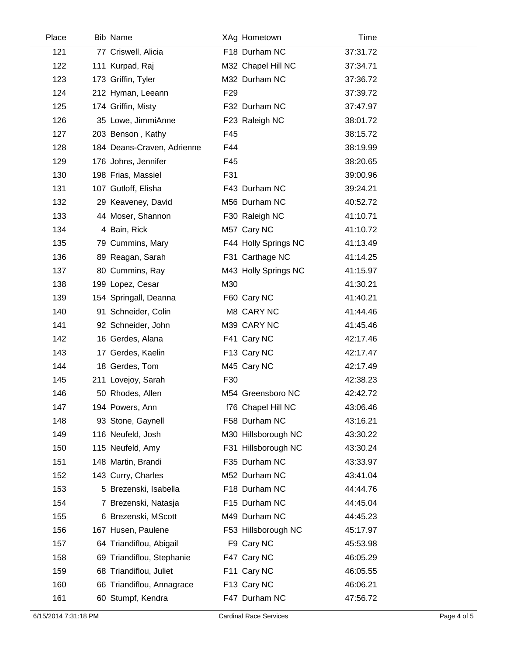| Place | <b>Bib Name</b>            |                 | XAg Hometown         | Time     |  |
|-------|----------------------------|-----------------|----------------------|----------|--|
| 121   | 77 Criswell, Alicia        |                 | F18 Durham NC        | 37:31.72 |  |
| 122   | 111 Kurpad, Raj            |                 | M32 Chapel Hill NC   | 37:34.71 |  |
| 123   | 173 Griffin, Tyler         |                 | M32 Durham NC        | 37:36.72 |  |
| 124   | 212 Hyman, Leeann          | F <sub>29</sub> |                      | 37:39.72 |  |
| 125   | 174 Griffin, Misty         |                 | F32 Durham NC        | 37:47.97 |  |
| 126   | 35 Lowe, JimmiAnne         |                 | F23 Raleigh NC       | 38:01.72 |  |
| 127   | 203 Benson, Kathy          | F45             |                      | 38:15.72 |  |
| 128   | 184 Deans-Craven, Adrienne | F44             |                      | 38:19.99 |  |
| 129   | 176 Johns, Jennifer        | F45             |                      | 38:20.65 |  |
| 130   | 198 Frias, Massiel         | F31             |                      | 39:00.96 |  |
| 131   | 107 Gutloff, Elisha        |                 | F43 Durham NC        | 39:24.21 |  |
| 132   | 29 Keaveney, David         |                 | M56 Durham NC        | 40:52.72 |  |
| 133   | 44 Moser, Shannon          |                 | F30 Raleigh NC       | 41:10.71 |  |
| 134   | 4 Bain, Rick               |                 | M57 Cary NC          | 41:10.72 |  |
| 135   | 79 Cummins, Mary           |                 | F44 Holly Springs NC | 41:13.49 |  |
| 136   | 89 Reagan, Sarah           |                 | F31 Carthage NC      | 41:14.25 |  |
| 137   | 80 Cummins, Ray            |                 | M43 Holly Springs NC | 41:15.97 |  |
| 138   | 199 Lopez, Cesar           | M30             |                      | 41:30.21 |  |
| 139   | 154 Springall, Deanna      |                 | F60 Cary NC          | 41:40.21 |  |
| 140   | 91 Schneider, Colin        |                 | M8 CARY NC           | 41:44.46 |  |
| 141   | 92 Schneider, John         |                 | M39 CARY NC          | 41:45.46 |  |
| 142   | 16 Gerdes, Alana           |                 | F41 Cary NC          | 42:17.46 |  |
| 143   | 17 Gerdes, Kaelin          |                 | F13 Cary NC          | 42:17.47 |  |
| 144   | 18 Gerdes, Tom             |                 | M45 Cary NC          | 42:17.49 |  |
| 145   | 211 Lovejoy, Sarah         | F30             |                      | 42:38.23 |  |
| 146   | 50 Rhodes, Allen           |                 | M54 Greensboro NC    | 42:42.72 |  |
| 147   | 194 Powers, Ann            |                 | f76 Chapel Hill NC   | 43:06.46 |  |
| 148   | 93 Stone, Gaynell          |                 | F58 Durham NC        | 43:16.21 |  |
| 149   | 116 Neufeld, Josh          |                 | M30 Hillsborough NC  | 43:30.22 |  |
| 150   | 115 Neufeld, Amy           |                 | F31 Hillsborough NC  | 43:30.24 |  |
| 151   | 148 Martin, Brandi         |                 | F35 Durham NC        | 43:33.97 |  |
| 152   | 143 Curry, Charles         |                 | M52 Durham NC        | 43:41.04 |  |
| 153   | 5 Brezenski, Isabella      |                 | F18 Durham NC        | 44:44.76 |  |
| 154   | 7 Brezenski, Natasja       |                 | F15 Durham NC        | 44:45.04 |  |
| 155   | 6 Brezenski, MScott        |                 | M49 Durham NC        | 44:45.23 |  |
| 156   | 167 Husen, Paulene         |                 | F53 Hillsborough NC  | 45:17.97 |  |
| 157   | 64 Triandiflou, Abigail    |                 | F9 Cary NC           | 45:53.98 |  |
| 158   | 69 Triandiflou, Stephanie  |                 | F47 Cary NC          | 46:05.29 |  |
| 159   | 68 Triandiflou, Juliet     |                 | F11 Cary NC          | 46:05.55 |  |
| 160   | 66 Triandiflou, Annagrace  |                 | F13 Cary NC          | 46:06.21 |  |
| 161   | 60 Stumpf, Kendra          |                 | F47 Durham NC        | 47:56.72 |  |